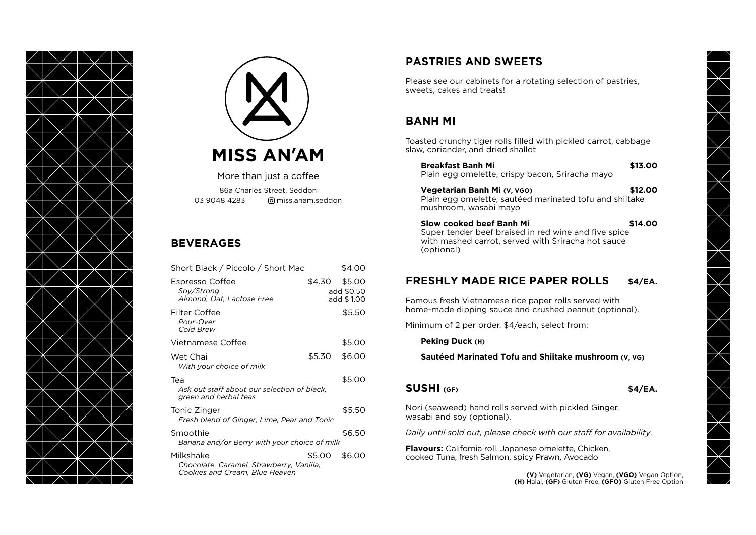



86a Charles Street, Seddon 03 9048 4283 miss.anam.seddon

## **BEVERAGES**

| Short Black / Piccolo / Short Mac                                                       |        | \$4.00                             |
|-----------------------------------------------------------------------------------------|--------|------------------------------------|
| Espresso Coffee<br>Soy/Strong<br>Almond, Oat, Lactose Free                              | \$4.30 | \$5.00<br>add \$0.50<br>add \$1.00 |
| Filter Coffee<br>Pour-Over<br>Cold Brew                                                 |        | \$5.50                             |
| Vietnamese Coffee                                                                       |        | \$5.00                             |
| Wet Chai<br>With your choice of milk                                                    | \$5.30 | \$6.00                             |
| \$5.00<br>Tea<br>Ask out staff about our selection of black.<br>green and herbal teas   |        |                                    |
| Tonic Zinger<br>Fresh blend of Ginger, Lime, Pear and Tonic                             |        | \$5.50                             |
| Smoothie<br>Banana and/or Berry with your choice of milk                                |        | \$6.50                             |
| Milkshake<br>Chocolate, Caramel, Strawberry, Vanilla,<br>Cookies and Cream, Blue Heaven | \$5.00 | \$6.00                             |

# **PASTRIES AND SWEETS**

Please see our cabinets for a rotating selection of pastries, sweets, cakes and treats!

# **BANH MI**

Toasted crunchy tiger rolls filled with pickled carrot, cabbage slaw, coriander, and dried shallot

| <b>Breakfast Banh Mi</b><br>Plain egg omelette, crispy bacon, Sriracha mayo                                                                          | \$13.00 |
|------------------------------------------------------------------------------------------------------------------------------------------------------|---------|
| Vegetarian Banh Mi (V, VGO)<br>Plain egg omelette, sautéed marinated tofu and shiitake<br>mushroom, wasabi mayo                                      | \$12.00 |
| Slow cooked beef Banh Mi<br>Super tender beef braised in red wine and five spice<br>with mashed carrot, served with Sriracha hot sauce<br>(optional) | \$14.00 |

# **FRESHLY MADE RICE PAPER ROLLS \$4/EA.**

Famous fresh Vietnamese rice paper rolls served with home-made dipping sauce and crushed peanut (optional).

Minimum of 2 per order. \$4/each, select from:

**Peking Duck (H)**

**Sautéed Marinated Tofu and Shiitake mushroom (V, VG)**

## **SUSHI (GF) \$4/EA.**

Nori (seaweed) hand rolls served with pickled Ginger, wasabi and soy (optional).

*Daily until sold out, please check with our staff for availability.*

**Flavours:** California roll, Japanese omelette, Chicken, cooked Tuna, fresh Salmon, spicy Prawn, Avocado

**(V)** Vegetarian, **(VG)** Vegan, **(VGO)** Vegan Option, **(H)** Halal, **(GF)** Gluten Free, **(GFO)** Gluten Free Option